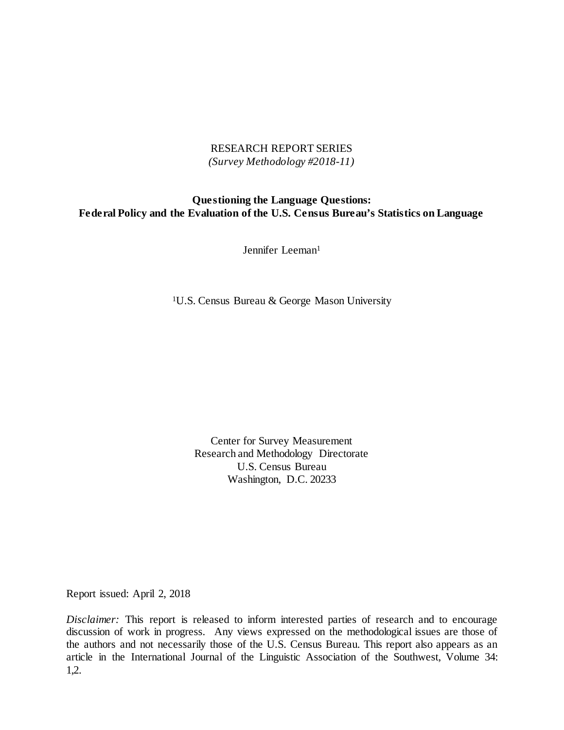## RESEARCH REPORT SERIES *(Survey Methodology #2018-11)*

# **Questioning the Language Questions: Federal Policy and the Evaluation of the U.S. Census Bureau's Statistics on Language**

Jennifer Leeman<sup>1</sup>

1U.S. Census Bureau & George Mason University

Center for Survey Measurement Research and Methodology Directorate U.S. Census Bureau Washington, D.C. 20233

Report issued: April 2, 2018

*Disclaimer:* This report is released to inform interested parties of research and to encourage discussion of work in progress. Any views expressed on the methodological issues are those of the authors and not necessarily those of the U.S. Census Bureau. This report also appears as an article in the International Journal of the Linguistic Association of the Southwest, Volume 34: 1,2.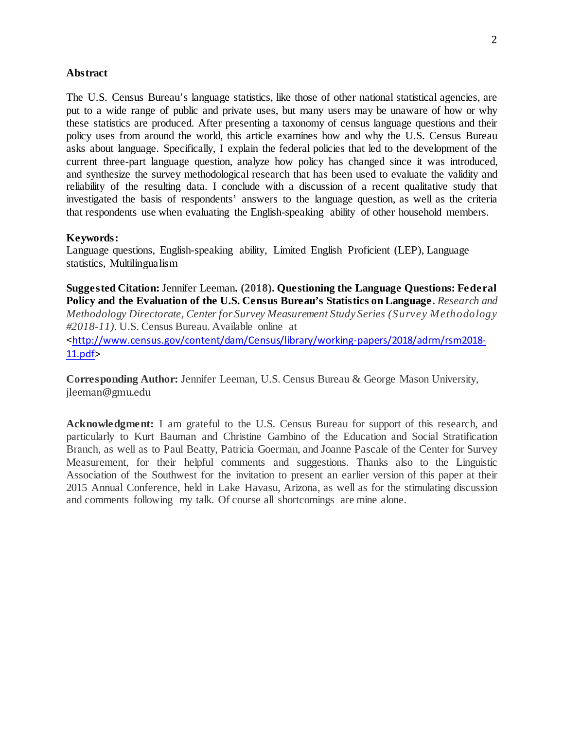### **Abstract**

The U.S. Census Bureau's language statistics, like those of other national statistical agencies, are put to a wide range of public and private uses, but many users may be unaware of how or why these statistics are produced. After presenting a taxonomy of census language questions and their policy uses from around the world, this article examines how and why the U.S. Census Bureau asks about language. Specifically, I explain the federal policies that led to the development of the current three-part language question, analyze how policy has changed since it was introduced, and synthesize the survey methodological research that has been used to evaluate the validity and reliability of the resulting data. I conclude with a discussion of a recent qualitative study that investigated the basis of respondents' answers to the language question, as well as the criteria that respondents use when evaluating the English-speaking ability of other household members.

### **Keywords:**

Language questions, English-speaking ability, Limited English Proficient (LEP), Language statistics, Multilingualism

**Suggested Citation:** Jennifer Leeman**. (2018). Questioning the Language Questions: Federal Policy and the Evaluation of the U.S. Census Bureau's Statistics on Language.** *Research and Methodology Directorate, Center for Survey Measurement Study Series (Survey Methodology #2018-11).* U.S. Census Bureau. Available online at <[http://www.census.gov/content/dam/Census/library/working-papers/2018/adrm/rsm2018-](http://www.census.gov/content/dam/Census/library/working-papers/2018/adrm/rsm2018-11.pdf) [11.pdf>](http://www.census.gov/content/dam/Census/library/working-papers/2018/adrm/rsm2018-11.pdf)

**Corresponding Author:** Jennifer Leeman, U.S. Census Bureau & George Mason University, [jleeman@gmu.edu](mailto:jleeman@gmu.edu)

**Acknowledgment:** I am grateful to the U.S. Census Bureau for support of this research, and particularly to Kurt Bauman and Christine Gambino of the Education and Social Stratification Branch, as well as to Paul Beatty, Patricia Goerman, and Joanne Pascale of the Center for Survey Measurement, for their helpful comments and suggestions. Thanks also to the Linguistic Association of the Southwest for the invitation to present an earlier version of this paper at their 2015 Annual Conference, held in Lake Havasu, Arizona, as well as for the stimulating discussion and comments following my talk. Of course all shortcomings are mine alone.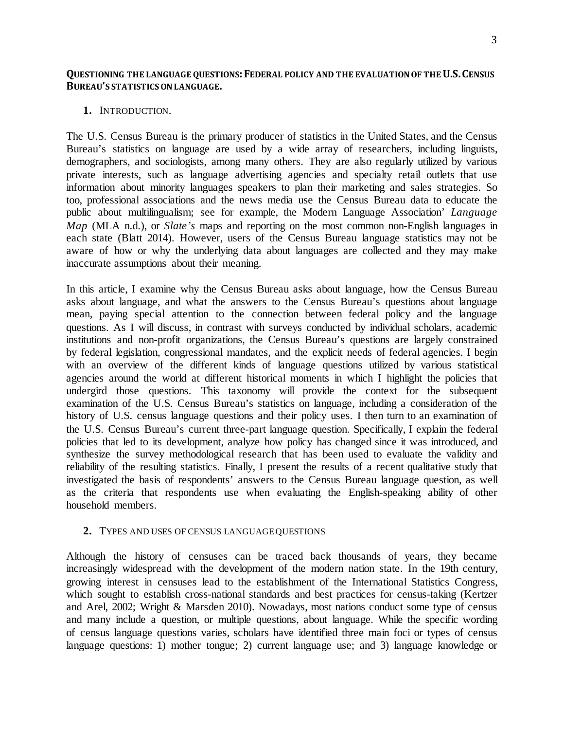### **QUESTIONING THE LANGUAGE QUESTIONS: FEDERAL POLICY AND THE EVALUATION OF THE U.S. CENSUS BUREAU'S STATISTICS ON LANGUAGE.**

### **1.** INTRODUCTION.

The U.S. Census Bureau is the primary producer of statistics in the United States, and the Census Bureau's statistics on language are used by a wide array of researchers, including linguists, demographers, and sociologists, among many others. They are also regularly utilized by various private interests, such as language advertising agencies and specialty retail outlets that use information about minority languages speakers to plan their marketing and sales strategies. So too, professional associations and the news media use the Census Bureau data to educate the public about multilingualism; see for example, the Modern Language Association' *Language Map* (MLA n.d.), or *Slate's* maps and reporting on the most common non-English languages in each state (Blatt 2014). However, users of the Census Bureau language statistics may not be aware of how or why the underlying data about languages are collected and they may make inaccurate assumptions about their meaning.

In this article, I examine why the Census Bureau asks about language, how the Census Bureau asks about language, and what the answers to the Census Bureau's questions about language mean, paying special attention to the connection between federal policy and the language questions. As I will discuss, in contrast with surveys conducted by individual scholars, academic institutions and non-profit organizations, the Census Bureau's questions are largely constrained by federal legislation, congressional mandates, and the explicit needs of federal agencies. I begin with an overview of the different kinds of language questions utilized by various statistical agencies around the world at different historical moments in which I highlight the policies that undergird those questions. This taxonomy will provide the context for the subsequent examination of the U.S. Census Bureau's statistics on language, including a consideration of the history of U.S. census language questions and their policy uses. I then turn to an examination of the U.S. Census Bureau's current three-part language question. Specifically, I explain the federal policies that led to its development, analyze how policy has changed since it was introduced, and synthesize the survey methodological research that has been used to evaluate the validity and reliability of the resulting statistics. Finally, I present the results of a recent qualitative study that investigated the basis of respondents' answers to the Census Bureau language question, as well as the criteria that respondents use when evaluating the English-speaking ability of other household members.

### **2.** TYPES AND USES OF CENSUS LANGUAGE QUESTIONS

Although the history of censuses can be traced back thousands of years, they became increasingly widespread with the development of the modern nation state. In the 19th century, growing interest in censuses lead to the establishment of the International Statistics Congress, which sought to establish cross-national standards and best practices for census-taking (Kertzer and Arel, 2002; Wright & Marsden 2010). Nowadays, most nations conduct some type of census and many include a question, or multiple questions, about language. While the specific wording of census language questions varies, scholars have identified three main foci or types of census language questions: 1) mother tongue; 2) current language use; and 3) language knowledge or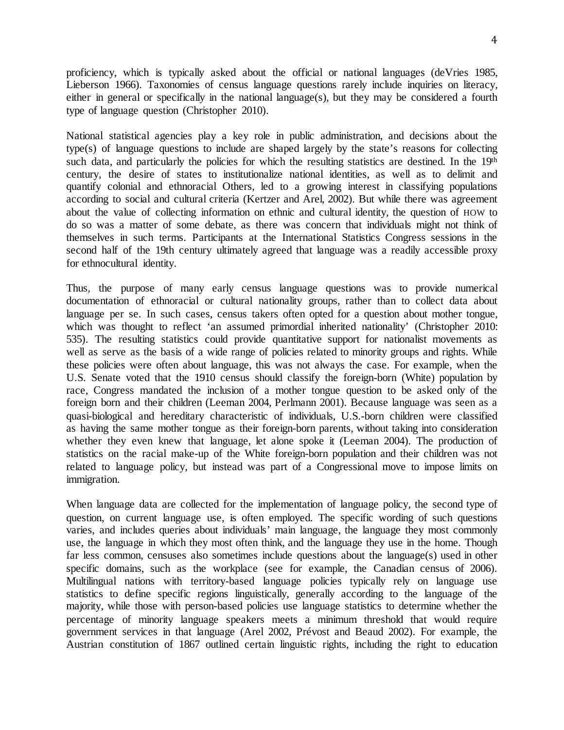proficiency, which is typically asked about the official or national languages (deVries 1985, Lieberson 1966). Taxonomies of census language questions rarely include inquiries on literacy, either in general or specifically in the national language(s), but they may be considered a fourth type of language question (Christopher 2010).

National statistical agencies play a key role in public administration, and decisions about the type(s) of language questions to include are shaped largely by the state's reasons for collecting such data, and particularly the policies for which the resulting statistics are destined. In the 19<sup>th</sup> century, the desire of states to institutionalize national identities, as well as to delimit and quantify colonial and ethnoracial Others, led to a growing interest in classifying populations according to social and cultural criteria (Kertzer and Arel, 2002). But while there was agreement about the value of collecting information on ethnic and cultural identity, the question of HOW to do so was a matter of some debate, as there was concern that individuals might not think of themselves in such terms. Participants at the International Statistics Congress sessions in the second half of the 19th century ultimately agreed that language was a readily accessible proxy for ethnocultural identity.

Thus, the purpose of many early census language questions was to provide numerical documentation of ethnoracial or cultural nationality groups, rather than to collect data about language per se. In such cases, census takers often opted for a question about mother tongue, which was thought to reflect 'an assumed primordial inherited nationality' (Christopher 2010: 535). The resulting statistics could provide quantitative support for nationalist movements as well as serve as the basis of a wide range of policies related to minority groups and rights. While these policies were often about language, this was not always the case. For example, when the U.S. Senate voted that the 1910 census should classify the foreign-born (White) population by race, Congress mandated the inclusion of a mother tongue question to be asked only of the foreign born and their children (Leeman 2004, Perlmann 2001). Because language was seen as a quasi-biological and hereditary characteristic of individuals, U.S.-born children were classified as having the same mother tongue as their foreign-born parents, without taking into consideration whether they even knew that language, let alone spoke it (Leeman 2004). The production of statistics on the racial make-up of the White foreign-born population and their children was not related to language policy, but instead was part of a Congressional move to impose limits on immigration.

When language data are collected for the implementation of language policy, the second type of question, on current language use, is often employed. The specific wording of such questions varies, and includes queries about individuals' main language, the language they most commonly use, the language in which they most often think, and the language they use in the home. Though far less common, censuses also sometimes include questions about the language(s) used in other specific domains, such as the workplace (see for example, the Canadian census of 2006). Multilingual nations with territory-based language policies typically rely on language use statistics to define specific regions linguistically, generally according to the language of the majority, while those with person-based policies use language statistics to determine whether the percentage of minority language speakers meets a minimum threshold that would require government services in that language (Arel 2002, Prévost and Beaud 2002). For example, the Austrian constitution of 1867 outlined certain linguistic rights, including the right to education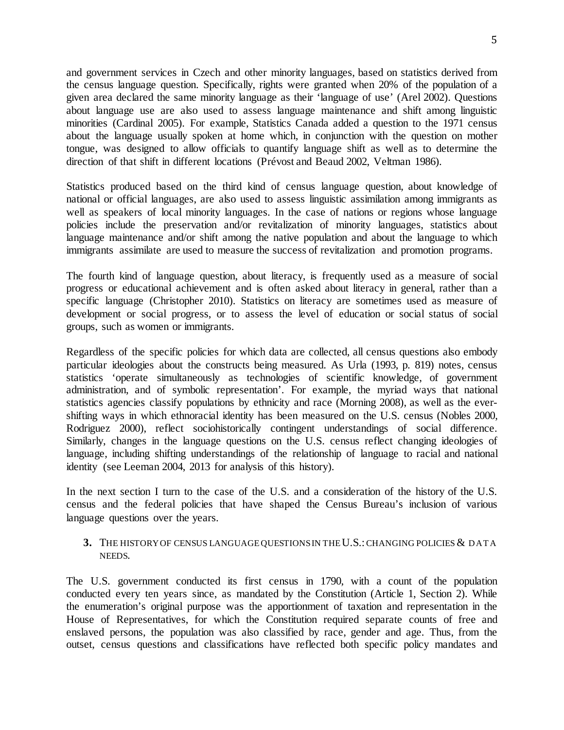and government services in Czech and other minority languages, based on statistics derived from the census language question. Specifically, rights were granted when 20% of the population of a given area declared the same minority language as their 'language of use' (Arel 2002). Questions about language use are also used to assess language maintenance and shift among linguistic minorities (Cardinal 2005). For example, Statistics Canada added a question to the 1971 census about the language usually spoken at home which, in conjunction with the question on mother tongue, was designed to allow officials to quantify language shift as well as to determine the direction of that shift in different locations (Prévost and Beaud 2002, Veltman 1986).

Statistics produced based on the third kind of census language question, about knowledge of national or official languages, are also used to assess linguistic assimilation among immigrants as well as speakers of local minority languages. In the case of nations or regions whose language policies include the preservation and/or revitalization of minority languages, statistics about language maintenance and/or shift among the native population and about the language to which immigrants assimilate are used to measure the success of revitalization and promotion programs.

The fourth kind of language question, about literacy, is frequently used as a measure of social progress or educational achievement and is often asked about literacy in general, rather than a specific language (Christopher 2010). Statistics on literacy are sometimes used as measure of development or social progress, or to assess the level of education or social status of social groups, such as women or immigrants.

Regardless of the specific policies for which data are collected, all census questions also embody particular ideologies about the constructs being measured. As Urla (1993, p. 819) notes, census statistics 'operate simultaneously as technologies of scientific knowledge, of government administration, and of symbolic representation'. For example, the myriad ways that national statistics agencies classify populations by ethnicity and race (Morning 2008), as well as the evershifting ways in which ethnoracial identity has been measured on the U.S. census (Nobles 2000, Rodriguez 2000), reflect sociohistorically contingent understandings of social difference. Similarly, changes in the language questions on the U.S. census reflect changing ideologies of language, including shifting understandings of the relationship of language to racial and national identity (see Leeman 2004, 2013 for analysis of this history).

In the next section I turn to the case of the U.S. and a consideration of the history of the U.S. census and the federal policies that have shaped the Census Bureau's inclusion of various language questions over the years.

## **3.** THE HISTORY OF CENSUS LANGUAGE QUESTIONS IN THEU.S.:CHANGING POLICIES & DATA NEEDS.

The U.S. government conducted its first census in 1790, with a count of the population conducted every ten years since, as mandated by the Constitution (Article 1, Section 2). While the enumeration's original purpose was the apportionment of taxation and representation in the House of Representatives, for which the Constitution required separate counts of free and enslaved persons, the population was also classified by race, gender and age. Thus, from the outset, census questions and classifications have reflected both specific policy mandates and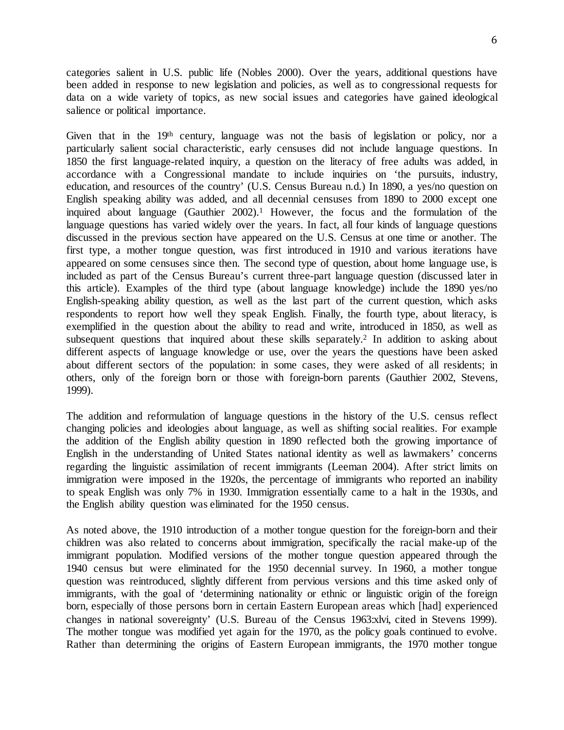6

categories salient in U.S. public life (Nobles 2000). Over the years, additional questions have been added in response to new legislation and policies, as well as to congressional requests for data on a wide variety of topics, as new social issues and categories have gained ideological salience or political importance.

Given that in the 19th century, language was not the basis of legislation or policy, nor a particularly salient social characteristic, early censuses did not include language questions. In 1850 the first language-related inquiry, a question on the literacy of free adults was added, in accordance with a Congressional mandate to include inquiries on 'the pursuits, industry, education, and resources of the country' (U.S. Census Bureau n.d.) In 1890, a yes/no question on English speaking ability was added, and all decennial censuses from 1890 to 2000 except one inquired about language (Gauthier  $2002$ ).<sup>1</sup> However, the focus and the formulation of the language questions has varied widely over the years. In fact, all four kinds of language questions discussed in the previous section have appeared on the U.S. Census at one time or another. The first type, a mother tongue question, was first introduced in 1910 and various iterations have appeared on some censuses since then. The second type of question, about home language use, is included as part of the Census Bureau's current three-part language question (discussed later in this article). Examples of the third type (about language knowledge) include the 1890 yes/no English-speaking ability question, as well as the last part of the current question, which asks respondents to report how well they speak English. Finally, the fourth type, about literacy, is exemplified in the question about the ability to read and write, introduced in 1850, as well as subsequent questions that inquired about these skills separately.<sup>2</sup> In addition to asking about different aspects of language knowledge or use, over the years the questions have been asked about different sectors of the population: in some cases, they were asked of all residents; in others, only of the foreign born or those with foreign-born parents (Gauthier 2002, Stevens, 1999).

The addition and reformulation of language questions in the history of the U.S. census reflect changing policies and ideologies about language, as well as shifting social realities. For example the addition of the English ability question in 1890 reflected both the growing importance of English in the understanding of United States national identity as well as lawmakers' concerns regarding the linguistic assimilation of recent immigrants (Leeman 2004). After strict limits on immigration were imposed in the 1920s, the percentage of immigrants who reported an inability to speak English was only 7% in 1930. Immigration essentially came to a halt in the 1930s, and the English ability question was eliminated for the 1950 census.

As noted above, the 1910 introduction of a mother tongue question for the foreign-born and their children was also related to concerns about immigration, specifically the racial make-up of the immigrant population. Modified versions of the mother tongue question appeared through the 1940 census but were eliminated for the 1950 decennial survey. In 1960, a mother tongue question was reintroduced, slightly different from pervious versions and this time asked only of immigrants, with the goal of 'determining nationality or ethnic or linguistic origin of the foreign born, especially of those persons born in certain Eastern European areas which [had] experienced changes in national sovereignty' (U.S. Bureau of the Census 1963:xlvi, cited in Stevens 1999). The mother tongue was modified yet again for the 1970, as the policy goals continued to evolve. Rather than determining the origins of Eastern European immigrants, the 1970 mother tongue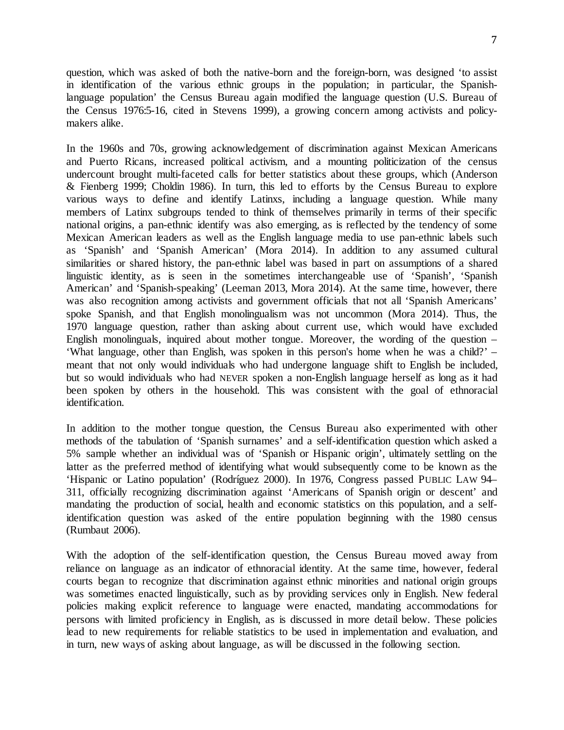question, which was asked of both the native-born and the foreign-born, was designed 'to assist in identification of the various ethnic groups in the population; in particular, the Spanishlanguage population' the Census Bureau again modified the language question (U.S. Bureau of the Census 1976:5-16, cited in Stevens 1999), a growing concern among activists and policymakers alike.

In the 1960s and 70s, growing acknowledgement of discrimination against Mexican Americans and Puerto Ricans, increased political activism, and a mounting politicization of the census undercount brought multi-faceted calls for better statistics about these groups, which (Anderson & Fienberg 1999; Choldin 1986). In turn, this led to efforts by the Census Bureau to explore various ways to define and identify Latinxs, including a language question. While many members of Latinx subgroups tended to think of themselves primarily in terms of their specific national origins, a pan-ethnic identify was also emerging, as is reflected by the tendency of some Mexican American leaders as well as the English language media to use pan-ethnic labels such as 'Spanish' and 'Spanish American' (Mora 2014). In addition to any assumed cultural similarities or shared history, the pan-ethnic label was based in part on assumptions of a shared linguistic identity, as is seen in the sometimes interchangeable use of 'Spanish', 'Spanish American' and 'Spanish-speaking' (Leeman 2013, Mora 2014). At the same time, however, there was also recognition among activists and government officials that not all 'Spanish Americans' spoke Spanish, and that English monolingualism was not uncommon (Mora 2014). Thus, the 1970 language question, rather than asking about current use, which would have excluded English monolinguals, inquired about mother tongue. Moreover, the wording of the question – 'What language, other than English, was spoken in this person's home when he was a child?' – meant that not only would individuals who had undergone language shift to English be included, but so would individuals who had NEVER spoken a non-English language herself as long as it had been spoken by others in the household. This was consistent with the goal of ethnoracial identification.

In addition to the mother tongue question, the Census Bureau also experimented with other methods of the tabulation of 'Spanish surnames' and a self-identification question which asked a 5% sample whether an individual was of 'Spanish or Hispanic origin', ultimately settling on the latter as the preferred method of identifying what would subsequently come to be known as the 'Hispanic or Latino population' (Rodríguez 2000). In 1976, Congress passed PUBLIC LAW 94– 311, officially recognizing discrimination against 'Americans of Spanish origin or descent' and mandating the production of social, health and economic statistics on this population, and a selfidentification question was asked of the entire population beginning with the 1980 census (Rumbaut 2006).

With the adoption of the self-identification question, the Census Bureau moved away from reliance on language as an indicator of ethnoracial identity. At the same time, however, federal courts began to recognize that discrimination against ethnic minorities and national origin groups was sometimes enacted linguistically, such as by providing services only in English. New federal policies making explicit reference to language were enacted, mandating accommodations for persons with limited proficiency in English, as is discussed in more detail below. These policies lead to new requirements for reliable statistics to be used in implementation and evaluation, and in turn, new ways of asking about language, as will be discussed in the following section.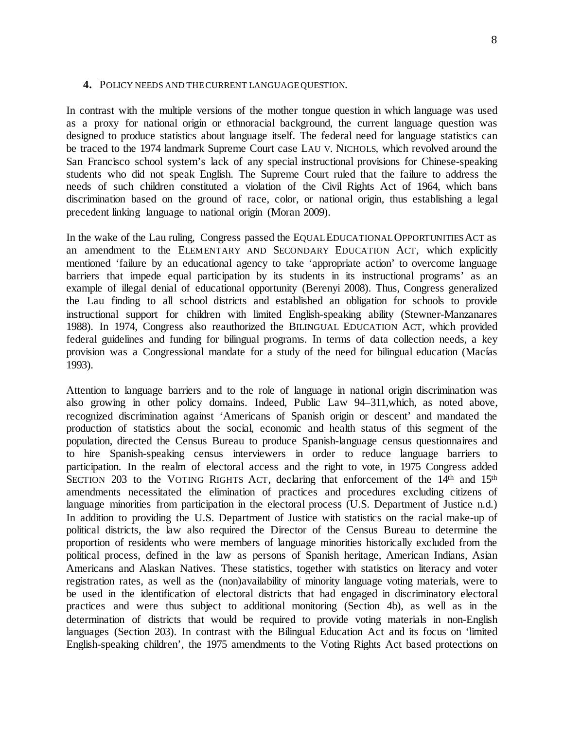#### **4.** POLICY NEEDS AND THE CURRENT LANGUAGE QUESTION.

In contrast with the multiple versions of the mother tongue question in which language was used as a proxy for national origin or ethnoracial background, the current language question was designed to produce statistics about language itself. The federal need for language statistics can be traced to the 1974 landmark Supreme Court case LAU V. NICHOLS*,* which revolved around the San Francisco school system's lack of any special instructional provisions for Chinese-speaking students who did not speak English. The Supreme Court ruled that the failure to address the needs of such children constituted a violation of the Civil Rights Act of 1964, which bans discrimination based on the ground of race, color, or national origin, thus establishing a legal precedent linking language to national origin (Moran 2009).

In the wake of the Lau ruling, Congress passed the EQUAL EDUCATIONAL OPPORTUNITIES ACT as an amendment to the ELEMENTARY AND SECONDARY EDUCATION ACT*,* which explicitly mentioned 'failure by an educational agency to take 'appropriate action' to overcome language barriers that impede equal participation by its students in its instructional programs' as an example of illegal denial of educational opportunity (Berenyi 2008). Thus, Congress generalized the Lau finding to all school districts and established an obligation for schools to provide instructional support for children with limited English-speaking ability (Stewner-Manzanares 1988). In 1974, Congress also reauthorized the BILINGUAL EDUCATION ACT, which provided federal guidelines and funding for bilingual programs. In terms of data collection needs, a key provision was a Congressional mandate for a study of the need for bilingual education (Macías 1993).

Attention to language barriers and to the role of language in national origin discrimination was also growing in other policy domains. Indeed, Public Law 94–311,which, as noted above, recognized discrimination against 'Americans of Spanish origin or descent' and mandated the production of statistics about the social, economic and health status of this segment of the population, directed the Census Bureau to produce Spanish-language census questionnaires and to hire Spanish-speaking census interviewers in order to reduce language barriers to participation. In the realm of electoral access and the right to vote, in 1975 Congress added SECTION 203 to the VOTING RIGHTS ACT, declaring that enforcement of the 14<sup>th</sup> and 15<sup>th</sup> amendments necessitated the elimination of practices and procedures excluding citizens of language minorities from participation in the electoral process (U.S. Department of Justice n.d.) In addition to providing the U.S. Department of Justice with statistics on the racial make-up of political districts, the law also required the Director of the Census Bureau to determine the proportion of residents who were members of language minorities historically excluded from the political process, defined in the law as persons of Spanish heritage, American Indians, Asian Americans and Alaskan Natives. These statistics, together with statistics on literacy and voter registration rates, as well as the (non)availability of minority language voting materials, were to be used in the identification of electoral districts that had engaged in discriminatory electoral practices and were thus subject to additional monitoring (Section 4b), as well as in the determination of districts that would be required to provide voting materials in non-English languages (Section 203). In contrast with the Bilingual Education Act and its focus on 'limited English-speaking children', the 1975 amendments to the Voting Rights Act based protections on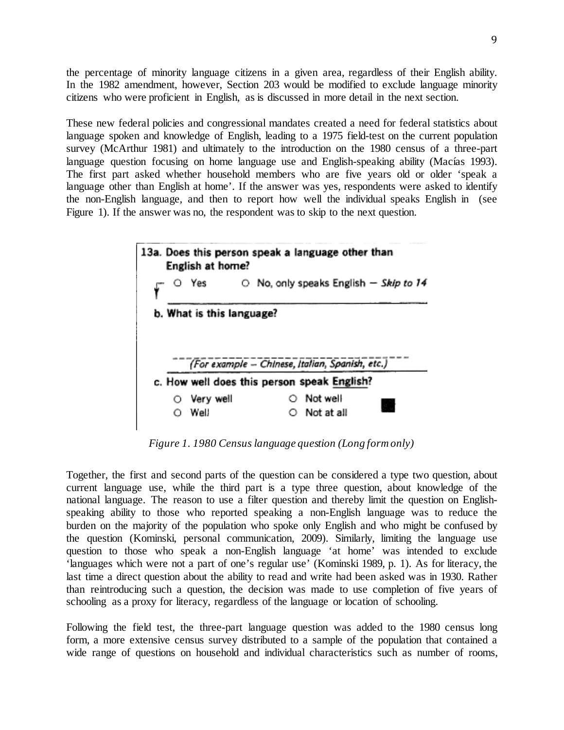the percentage of minority language citizens in a given area, regardless of their English ability. In the 1982 amendment, however, Section 203 would be modified to exclude language minority citizens who were proficient in English, as is discussed in more detail in the next section.

These new federal policies and congressional mandates created a need for federal statistics about language spoken and knowledge of English, leading to a 1975 field-test on the current population survey (McArthur 1981) and ultimately to the introduction on the 1980 census of a three-part language question focusing on home language use and English-speaking ability (Macías 1993). The first part asked whether household members who are five years old or older 'speak a language other than English at home'. If the answer was yes, respondents were asked to identify the non-English language, and then to report how well the individual speaks English in (see Figure 1). If the answer was no, the respondent was to skip to the next question.



*Figure 1. 1980 Census language question (Long form only)*

Together, the first and second parts of the question can be considered a type two question, about current language use, while the third part is a type three question, about knowledge of the national language. The reason to use a filter question and thereby limit the question on Englishspeaking ability to those who reported speaking a non-English language was to reduce the burden on the majority of the population who spoke only English and who might be confused by the question (Kominski, personal communication, 2009). Similarly, limiting the language use question to those who speak a non-English language 'at home' was intended to exclude 'languages which were not a part of one's regular use' (Kominski 1989, p. 1). As for literacy, the last time a direct question about the ability to read and write had been asked was in 1930. Rather than reintroducing such a question, the decision was made to use completion of five years of schooling as a proxy for literacy, regardless of the language or location of schooling.

Following the field test, the three-part language question was added to the 1980 census long form, a more extensive census survey distributed to a sample of the population that contained a wide range of questions on household and individual characteristics such as number of rooms,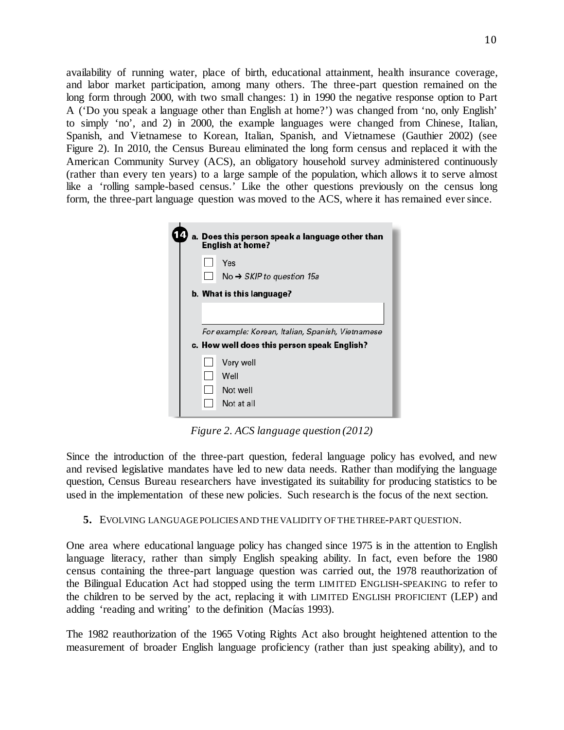availability of running water, place of birth, educational attainment, health insurance coverage, and labor market participation, among many others. The three-part question remained on the long form through 2000, with two small changes: 1) in 1990 the negative response option to Part A ('Do you speak a language other than English at home?') was changed from 'no, only English' to simply 'no', and 2) in 2000, the example languages were changed from Chinese, Italian, Spanish, and Vietnamese to Korean, Italian, Spanish, and Vietnamese (Gauthier 2002) (see Figure 2). In 2010, the Census Bureau eliminated the long form census and replaced it with the American Community Survey (ACS), an obligatory household survey administered continuously (rather than every ten years) to a large sample of the population, which allows it to serve almost like a 'rolling sample-based census.' Like the other questions previously on the census long form, the three-part language question was moved to the ACS, where it has remained ever since.

|                           | a. Does this person speak a language other than<br><b>English at home?</b>                       |  |
|---------------------------|--------------------------------------------------------------------------------------------------|--|
|                           | Yes<br>No $\rightarrow$ SKIP to question 15a                                                     |  |
| b. What is this language? |                                                                                                  |  |
|                           | For example: Korean, Italian, Spanish, Vietnamese<br>c. How well does this person speak English? |  |
|                           | Very well                                                                                        |  |
|                           | Well                                                                                             |  |
|                           | Not well                                                                                         |  |
|                           | Not at all                                                                                       |  |

*Figure 2. ACS language question (2012)*

Since the introduction of the three-part question, federal language policy has evolved, and new and revised legislative mandates have led to new data needs. Rather than modifying the language question, Census Bureau researchers have investigated its suitability for producing statistics to be used in the implementation of these new policies. Such research is the focus of the next section.

**5.** EVOLVING LANGUAGE POLICIES AND THE VALIDITY OF THE THREE-PART QUESTION.

One area where educational language policy has changed since 1975 is in the attention to English language literacy, rather than simply English speaking ability. In fact, even before the 1980 census containing the three-part language question was carried out, the 1978 reauthorization of the Bilingual Education Act had stopped using the term LIMITED ENGLISH-SPEAKING to refer to the children to be served by the act, replacing it with LIMITED ENGLISH PROFICIENT (LEP) and adding 'reading and writing' to the definition (Macías 1993).

The 1982 reauthorization of the 1965 Voting Rights Act also brought heightened attention to the measurement of broader English language proficiency (rather than just speaking ability), and to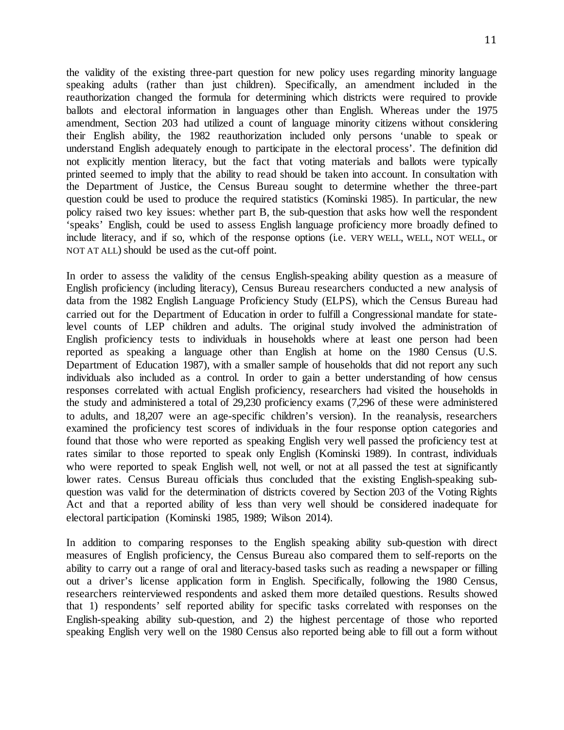the validity of the existing three-part question for new policy uses regarding minority language speaking adults (rather than just children). Specifically, an amendment included in the reauthorization changed the formula for determining which districts were required to provide ballots and electoral information in languages other than English. Whereas under the 1975 amendment, Section 203 had utilized a count of language minority citizens without considering their English ability, the 1982 reauthorization included only persons 'unable to speak or understand English adequately enough to participate in the electoral process'. The definition did not explicitly mention literacy, but the fact that voting materials and ballots were typically printed seemed to imply that the ability to read should be taken into account. In consultation with the Department of Justice, the Census Bureau sought to determine whether the three-part question could be used to produce the required statistics (Kominski 1985). In particular, the new policy raised two key issues: whether part B, the sub-question that asks how well the respondent 'speaks' English, could be used to assess English language proficiency more broadly defined to include literacy, and if so, which of the response options (i.e. VERY WELL, WELL, NOT WELL, or NOT AT ALL) should be used as the cut-off point.

In order to assess the validity of the census English-speaking ability question as a measure of English proficiency (including literacy), Census Bureau researchers conducted a new analysis of data from the 1982 English Language Proficiency Study (ELPS), which the Census Bureau had carried out for the Department of Education in order to fulfill a Congressional mandate for statelevel counts of LEP children and adults. The original study involved the administration of English proficiency tests to individuals in households where at least one person had been reported as speaking a language other than English at home on the 1980 Census (U.S. Department of Education 1987), with a smaller sample of households that did not report any such individuals also included as a control. In order to gain a better understanding of how census responses correlated with actual English proficiency, researchers had visited the households in the study and administered a total of 29,230 proficiency exams (7,296 of these were administered to adults, and 18,207 were an age-specific children's version). In the reanalysis, researchers examined the proficiency test scores of individuals in the four response option categories and found that those who were reported as speaking English very well passed the proficiency test at rates similar to those reported to speak only English (Kominski 1989). In contrast, individuals who were reported to speak English well, not well, or not at all passed the test at significantly lower rates. Census Bureau officials thus concluded that the existing English-speaking subquestion was valid for the determination of districts covered by Section 203 of the Voting Rights Act and that a reported ability of less than very well should be considered inadequate for electoral participation (Kominski 1985, 1989; Wilson 2014).

In addition to comparing responses to the English speaking ability sub-question with direct measures of English proficiency, the Census Bureau also compared them to self-reports on the ability to carry out a range of oral and literacy-based tasks such as reading a newspaper or filling out a driver's license application form in English. Specifically, following the 1980 Census, researchers reinterviewed respondents and asked them more detailed questions. Results showed that 1) respondents' self reported ability for specific tasks correlated with responses on the English-speaking ability sub-question, and 2) the highest percentage of those who reported speaking English very well on the 1980 Census also reported being able to fill out a form without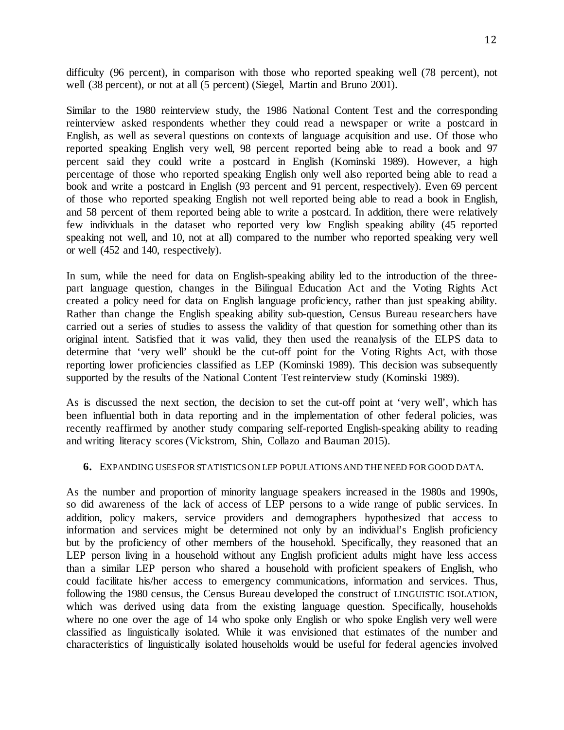difficulty (96 percent), in comparison with those who reported speaking well (78 percent), not well (38 percent), or not at all (5 percent) (Siegel, Martin and Bruno 2001).

Similar to the 1980 reinterview study, the 1986 National Content Test and the corresponding reinterview asked respondents whether they could read a newspaper or write a postcard in English, as well as several questions on contexts of language acquisition and use. Of those who reported speaking English very well, 98 percent reported being able to read a book and 97 percent said they could write a postcard in English (Kominski 1989). However, a high percentage of those who reported speaking English only well also reported being able to read a book and write a postcard in English (93 percent and 91 percent, respectively). Even 69 percent of those who reported speaking English not well reported being able to read a book in English, and 58 percent of them reported being able to write a postcard. In addition, there were relatively few individuals in the dataset who reported very low English speaking ability (45 reported speaking not well, and 10, not at all) compared to the number who reported speaking very well or well (452 and 140, respectively).

In sum, while the need for data on English-speaking ability led to the introduction of the threepart language question, changes in the Bilingual Education Act and the Voting Rights Act created a policy need for data on English language proficiency, rather than just speaking ability. Rather than change the English speaking ability sub-question, Census Bureau researchers have carried out a series of studies to assess the validity of that question for something other than its original intent. Satisfied that it was valid, they then used the reanalysis of the ELPS data to determine that 'very well' should be the cut-off point for the Voting Rights Act, with those reporting lower proficiencies classified as LEP (Kominski 1989). This decision was subsequently supported by the results of the National Content Test reinterview study (Kominski 1989).

As is discussed the next section, the decision to set the cut-off point at 'very well', which has been influential both in data reporting and in the implementation of other federal policies, was recently reaffirmed by another study comparing self-reported English-speaking ability to reading and writing literacy scores (Vickstrom, Shin, Collazo and Bauman 2015).

### **6.** EXPANDING USES FOR STATISTICS ON LEP POPULATIONS AND THENEED FOR GOOD DATA.

As the number and proportion of minority language speakers increased in the 1980s and 1990s, so did awareness of the lack of access of LEP persons to a wide range of public services. In addition, policy makers, service providers and demographers hypothesized that access to information and services might be determined not only by an individual's English proficiency but by the proficiency of other members of the household. Specifically, they reasoned that an LEP person living in a household without any English proficient adults might have less access than a similar LEP person who shared a household with proficient speakers of English, who could facilitate his/her access to emergency communications, information and services. Thus, following the 1980 census, the Census Bureau developed the construct of LINGUISTIC ISOLATION, which was derived using data from the existing language question. Specifically, households where no one over the age of 14 who spoke only English or who spoke English very well were classified as linguistically isolated. While it was envisioned that estimates of the number and characteristics of linguistically isolated households would be useful for federal agencies involved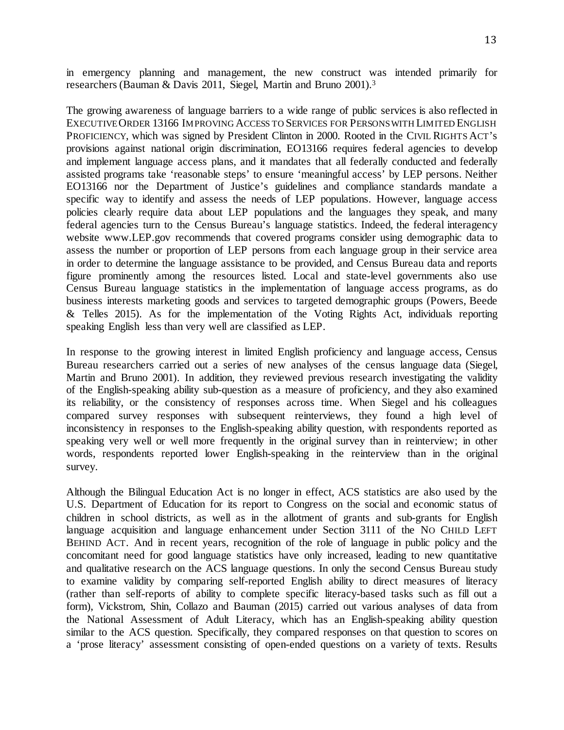in emergency planning and management, the new construct was intended primarily for researchers (Bauman & Davis 2011, Siegel, Martin and Bruno 2001).3

The growing awareness of language barriers to a wide range of public services is also reflected in EXECUTIVE ORDER 13166 IMPROVING ACCESS TO SERVICES FOR PERSONS WITH LIMITED ENGLISH PROFICIENCY, which was signed by President Clinton in 2000. Rooted in the CIVIL RIGHTS ACT's provisions against national origin discrimination, EO13166 requires federal agencies to develop and implement language access plans, and it mandates that all federally conducted and federally assisted programs take 'reasonable steps' to ensure 'meaningful access' by LEP persons. Neither EO13166 nor the Department of Justice's guidelines and compliance standards mandate a specific way to identify and assess the needs of LEP populations. However, language access policies clearly require data about LEP populations and the languages they speak, and many federal agencies turn to the Census Bureau's language statistics. Indeed, the federal interagency website www.LEP.gov recommends that covered programs consider using demographic data to assess the number or proportion of LEP persons from each language group in their service area in order to determine the language assistance to be provided, and Census Bureau data and reports figure prominently among the resources listed. Local and state-level governments also use Census Bureau language statistics in the implementation of language access programs, as do business interests marketing goods and services to targeted demographic groups (Powers, Beede & Telles 2015). As for the implementation of the Voting Rights Act, individuals reporting speaking English less than very well are classified as LEP.

In response to the growing interest in limited English proficiency and language access, Census Bureau researchers carried out a series of new analyses of the census language data (Siegel, Martin and Bruno 2001). In addition, they reviewed previous research investigating the validity of the English-speaking ability sub-question as a measure of proficiency, and they also examined its reliability, or the consistency of responses across time. When Siegel and his colleagues compared survey responses with subsequent reinterviews, they found a high level of inconsistency in responses to the English-speaking ability question, with respondents reported as speaking very well or well more frequently in the original survey than in reinterview; in other words, respondents reported lower English-speaking in the reinterview than in the original survey.

Although the Bilingual Education Act is no longer in effect, ACS statistics are also used by the U.S. Department of Education for its report to Congress on the social and economic status of children in school districts, as well as in the allotment of grants and sub-grants for English language acquisition and language enhancement under Section 3111 of the No CHILD LEFT BEHIND ACT. And in recent years, recognition of the role of language in public policy and the concomitant need for good language statistics have only increased, leading to new quantitative and qualitative research on the ACS language questions. In only the second Census Bureau study to examine validity by comparing self-reported English ability to direct measures of literacy (rather than self-reports of ability to complete specific literacy-based tasks such as fill out a form), Vickstrom, Shin, Collazo and Bauman (2015) carried out various analyses of data from the National Assessment of Adult Literacy, which has an English-speaking ability question similar to the ACS question. Specifically, they compared responses on that question to scores on a 'prose literacy' assessment consisting of open-ended questions on a variety of texts. Results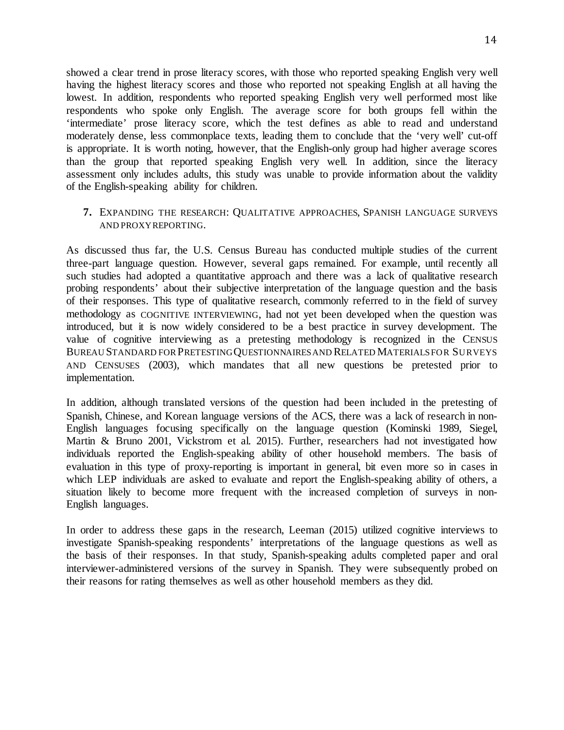showed a clear trend in prose literacy scores, with those who reported speaking English very well having the highest literacy scores and those who reported not speaking English at all having the lowest. In addition, respondents who reported speaking English very well performed most like respondents who spoke only English. The average score for both groups fell within the 'intermediate' prose literacy score, which the test defines as able to read and understand moderately dense, less commonplace texts, leading them to conclude that the 'very well' cut-off is appropriate. It is worth noting, however, that the English-only group had higher average scores than the group that reported speaking English very well. In addition, since the literacy assessment only includes adults, this study was unable to provide information about the validity of the English-speaking ability for children.

### **7.** EXPANDING THE RESEARCH: QUALITATIVE APPROACHES, SPANISH LANGUAGE SURVEYS AND PROXY REPORTING.

As discussed thus far, the U.S. Census Bureau has conducted multiple studies of the current three-part language question. However, several gaps remained. For example, until recently all such studies had adopted a quantitative approach and there was a lack of qualitative research probing respondents' about their subjective interpretation of the language question and the basis of their responses. This type of qualitative research, commonly referred to in the field of survey methodology as COGNITIVE INTERVIEWING, had not yet been developed when the question was introduced, but it is now widely considered to be a best practice in survey development. The value of cognitive interviewing as a pretesting methodology is recognized in the CENSUS BUREAU STANDARD FOR PRETESTING QUESTIONNAIRES AND RELATED MATERIALS FOR SURVEYS AND CENSUSES (2003), which mandates that all new questions be pretested prior to implementation.

In addition, although translated versions of the question had been included in the pretesting of Spanish, Chinese, and Korean language versions of the ACS, there was a lack of research in non-English languages focusing specifically on the language question (Kominski 1989, Siegel, Martin & Bruno 2001, Vickstrom et al. 2015). Further, researchers had not investigated how individuals reported the English-speaking ability of other household members. The basis of evaluation in this type of proxy-reporting is important in general, bit even more so in cases in which LEP individuals are asked to evaluate and report the English-speaking ability of others, a situation likely to become more frequent with the increased completion of surveys in non-English languages.

In order to address these gaps in the research, Leeman (2015) utilized cognitive interviews to investigate Spanish-speaking respondents' interpretations of the language questions as well as the basis of their responses. In that study, Spanish-speaking adults completed paper and oral interviewer-administered versions of the survey in Spanish. They were subsequently probed on their reasons for rating themselves as well as other household members as they did.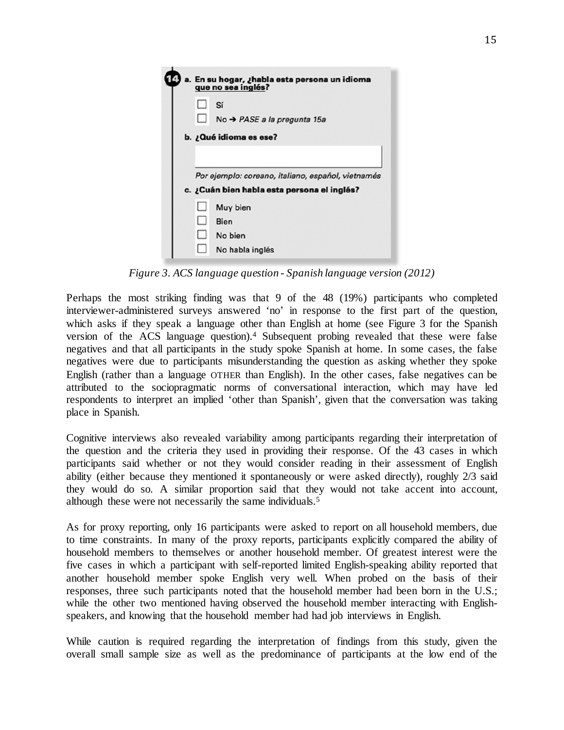|                        |   | a. En su hogar, ¿habla esta persona un idioma<br>que no sea inglés?                               |  |
|------------------------|---|---------------------------------------------------------------------------------------------------|--|
|                        | ப | Sí<br>No $\rightarrow$ PASE a la pregunta 15a                                                     |  |
| b. ¿Qué idioma es ese? |   |                                                                                                   |  |
|                        |   | Por ejemplo: coreano, italiano, español, vietnamés<br>c. ¿Cuán bien habla esta persona el inglés? |  |
|                        |   | Muy bien<br>Bien<br>No bien<br>No habla inglés                                                    |  |

*Figure 3. ACS language question - Spanish language version (2012)*

Perhaps the most striking finding was that 9 of the 48 (19%) participants who completed interviewer-administered surveys answered 'no' in response to the first part of the question, which asks if they speak a language other than English at home (see Figure 3 for the Spanish version of the ACS language question).4 Subsequent probing revealed that these were false negatives and that all participants in the study spoke Spanish at home. In some cases, the false negatives were due to participants misunderstanding the question as asking whether they spoke English (rather than a language OTHER than English). In the other cases, false negatives can be attributed to the sociopragmatic norms of conversational interaction, which may have led respondents to interpret an implied 'other than Spanish', given that the conversation was taking place in Spanish.

Cognitive interviews also revealed variability among participants regarding their interpretation of the question and the criteria they used in providing their response. Of the 43 cases in which participants said whether or not they would consider reading in their assessment of English ability (either because they mentioned it spontaneously or were asked directly), roughly 2/3 said they would do so. A similar proportion said that they would not take accent into account, although these were not necessarily the same individuals.5

As for proxy reporting, only 16 participants were asked to report on all household members, due to time constraints. In many of the proxy reports, participants explicitly compared the ability of household members to themselves or another household member. Of greatest interest were the five cases in which a participant with self-reported limited English-speaking ability reported that another household member spoke English very well. When probed on the basis of their responses, three such participants noted that the household member had been born in the U.S.; while the other two mentioned having observed the household member interacting with Englishspeakers, and knowing that the household member had had job interviews in English.

While caution is required regarding the interpretation of findings from this study, given the overall small sample size as well as the predominance of participants at the low end of the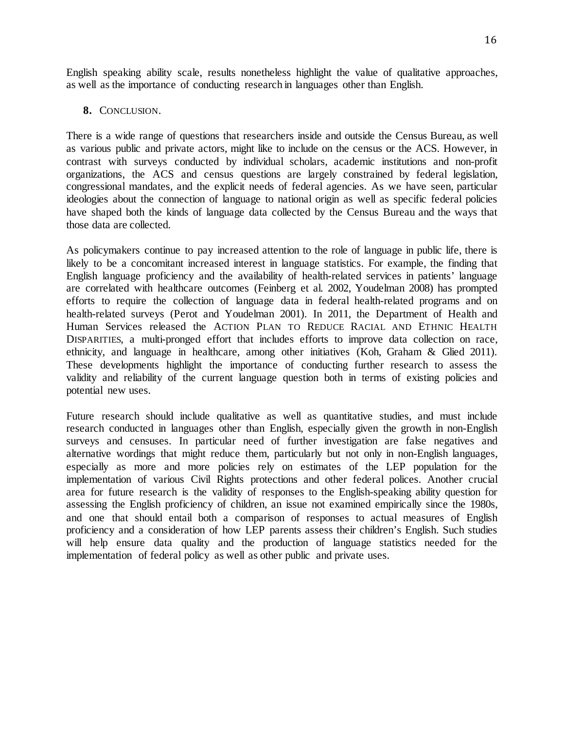English speaking ability scale, results nonetheless highlight the value of qualitative approaches, as well as the importance of conducting research in languages other than English.

### **8.** CONCLUSION.

There is a wide range of questions that researchers inside and outside the Census Bureau, as well as various public and private actors, might like to include on the census or the ACS. However, in contrast with surveys conducted by individual scholars, academic institutions and non-profit organizations, the ACS and census questions are largely constrained by federal legislation, congressional mandates, and the explicit needs of federal agencies. As we have seen, particular ideologies about the connection of language to national origin as well as specific federal policies have shaped both the kinds of language data collected by the Census Bureau and the ways that those data are collected.

As policymakers continue to pay increased attention to the role of language in public life, there is likely to be a concomitant increased interest in language statistics. For example, the finding that English language proficiency and the availability of health-related services in patients' language are correlated with healthcare outcomes (Feinberg et al. 2002, Youdelman 2008) has prompted efforts to require the collection of language data in federal health-related programs and on health-related surveys (Perot and Youdelman 2001). In 2011, the Department of Health and Human Services released the ACTION PLAN TO REDUCE RACIAL AND ETHNIC HEALTH DISPARITIES, a multi-pronged effort that includes efforts to improve data collection on race, ethnicity, and language in healthcare, among other initiatives (Koh, Graham & Glied 2011). These developments highlight the importance of conducting further research to assess the validity and reliability of the current language question both in terms of existing policies and potential new uses.

Future research should include qualitative as well as quantitative studies, and must include research conducted in languages other than English, especially given the growth in non-English surveys and censuses. In particular need of further investigation are false negatives and alternative wordings that might reduce them, particularly but not only in non-English languages, especially as more and more policies rely on estimates of the LEP population for the implementation of various Civil Rights protections and other federal polices. Another crucial area for future research is the validity of responses to the English-speaking ability question for assessing the English proficiency of children, an issue not examined empirically since the 1980s, and one that should entail both a comparison of responses to actual measures of English proficiency and a consideration of how LEP parents assess their children's English. Such studies will help ensure data quality and the production of language statistics needed for the implementation of federal policy as well as other public and private uses.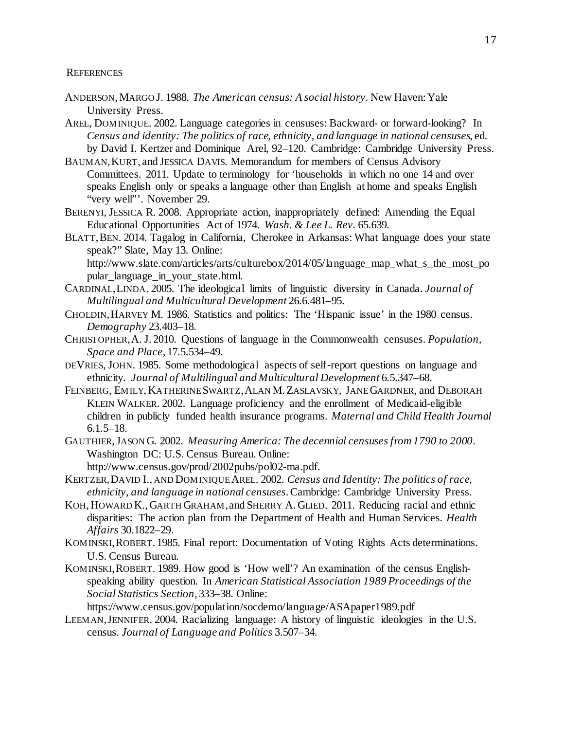#### **REFERENCES**

- ANDERSON, MARGO J. 1988. *The American census: A social history*. New Haven: Yale University Press.
- AREL, DOMINIQUE. 2002. Language categories in censuses: Backward- or forward-looking? In *Census and identity: The politics of race, ethnicity, and language in national censuses*, ed. by David I. Kertzer and Dominique Arel, 92–120. Cambridge: Cambridge University Press.
- BAUMAN,KURT, and JESSICA DAVIS. Memorandum for members of Census Advisory Committees. 2011. Update to terminology for 'households in which no one 14 and over speaks English only or speaks a language other than English at home and speaks English "very well"'. November 29.
- BERENYI, JESSICA R. 2008. Appropriate action, inappropriately defined: Amending the Equal Educational Opportunities Act of 1974. *Wash. & Lee L. Rev.* 65.639.
- BLATT,BEN. 2014. Tagalog in California, Cherokee in Arkansas: What language does your state speak?" Slate, May 13. Online: http://www.slate.com/articles/arts/culturebox/2014/05/language\_map\_what\_s\_the\_most\_po

pular\_language\_in\_your\_state.html.

- CARDINAL,LINDA. 2005. The ideological limits of linguistic diversity in Canada. *Journal of Multilingual and Multicultural Development* 26.6.481–95.
- CHOLDIN,HARVEY M. 1986. Statistics and politics: The 'Hispanic issue' in the 1980 census. *Demography* 23.403–18.
- CHRISTOPHER,A. J. 2010. Questions of language in the Commonwealth censuses. *Population, Space and Place*, 17.5.534–49.
- DEVRIES, JOHN. 1985. Some methodological aspects of self-report questions on language and ethnicity. *Journal of Multilingual and Multicultural Development* 6.5.347–68.
- FEINBERG, EMILY, KATHERINE SWARTZ, ALAN M. ZASLAVSKY, JANE GARDNER, and DEBORAH KLEIN WALKER. 2002. Language proficiency and the enrollment of Medicaid-eligible children in publicly funded health insurance programs. *Maternal and Child Health Journal*  $6.1.5 - 18.$
- GAUTHIER,JASON G. 2002. *Measuring America: The decennial censuses from 1790 to 2000*. Washington DC: U.S. Census Bureau. Online:
	- http://www.census.gov/prod/2002pubs/pol02-ma.pdf.
- KERTZER,DAVID I., AND DOMINIQUEAREL. 2002. *Census and Identity: The politics of race, ethnicity, and language in national censuses*. Cambridge: Cambridge University Press.
- KOH, HOWARD K., GARTH GRAHAM,and SHERRY A. GLIED. 2011. Reducing racial and ethnic disparities: The action plan from the Department of Health and Human Services. *Health Affairs* 30.1822–29.
- KOMINSKI,ROBERT. 1985. Final report: Documentation of Voting Rights Acts determinations. U.S. Census Bureau.
- KOMINSKI,ROBERT. 1989. How good is 'How well'? An examination of the census Englishspeaking ability question. In *American Statistical Association 1989 Proceedings of the Social Statistics Section*, 333–38. Online:

https://www.census.gov/population/socdemo/language/ASApaper1989.pdf

LEEMAN,JENNIFER. 2004. Racializing language: A history of linguistic ideologies in the U.S. census. *Journal of Language and Politics* 3.507–34.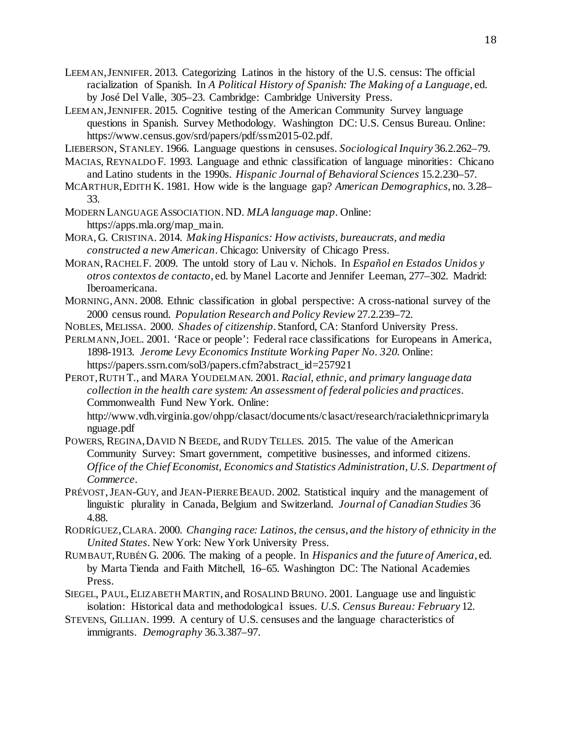- LEEMAN,JENNIFER. 2013. Categorizing Latinos in the history of the U.S. census: The official racialization of Spanish. In *A Political History of Spanish: The Making of a Language*, ed. by José Del Valle, 305–23. Cambridge: Cambridge University Press.
- LEEMAN,JENNIFER. 2015. Cognitive testing of the American Community Survey language questions in Spanish. Survey Methodology. Washington DC: U.S. Census Bureau. Online: https://www.census.gov/srd/papers/pdf/ssm2015-02.pdf.
- LIEBERSON, STANLEY. 1966. Language questions in censuses. *Sociological Inquiry* 36.2.262–79.
- MACIAS, REYNALDO F. 1993. Language and ethnic classification of language minorities: Chicano and Latino students in the 1990s. *Hispanic Journal of Behavioral Sciences* 15.2.230–57.
- MCARTHUR,EDITH K. 1981. How wide is the language gap? *American Demographics*, no. 3.28– 33.
- MODERN LANGUAGE ASSOCIATION. ND. *MLA language map*. Online: https://apps.mla.org/map\_main.
- MORA, G. CRISTINA. 2014. *Making Hispanics: How activists, bureaucrats, and media constructed a new American*. Chicago: University of Chicago Press.
- MORAN, RACHEL F. 2009. The untold story of Lau v. Nichols. In *Español en Estados Unidos* y *otros contextos de contacto*, ed. by Manel Lacorte and Jennifer Leeman, 277–302. Madrid: Iberoamericana.
- MORNING,ANN. 2008. Ethnic classification in global perspective: A cross-national survey of the 2000 census round. *Population Research and Policy Review* 27.2.239–72.
- NOBLES, MELISSA. 2000. *Shades of citizenship*. Stanford, CA: Stanford University Press.
- PERLMANN,JOEL. 2001. 'Race or people': Federal race classifications for Europeans in America, 1898-1913. *Jerome Levy Economics Institute Working Paper No. 320*. Online: https://papers.ssrn.com/sol3/papers.cfm?abstract\_id=257921
- PEROT,RUTH T., and MARA YOUDELMAN. 2001. *Racial, ethnic, and primary language data collection in the health care system: An assessment of federal policies and practices*. Commonwealth Fund New York. Online:

http://www.vdh.virginia.gov/ohpp/clasact/documents/clasact/research/racialethnicprimaryla nguage.pdf

- POWERS, REGINA, DAVID N BEEDE, and RUDY TELLES. 2015. The value of the American Community Survey: Smart government, competitive businesses, and informed citizens. *Office of the Chief Economist, Economics and Statistics Administration, U.S. Department of Commerce*.
- PRÉVOST,JEAN-GUY, and JEAN-PIERRE BEAUD. 2002. Statistical inquiry and the management of linguistic plurality in Canada, Belgium and Switzerland. *Journal of Canadian Studies* 36 4.88.
- RODRÍGUEZ,CLARA. 2000. *Changing race: Latinos, the census, and the history of ethnicity in the United States*. New York: New York University Press.
- RUMBAUT,RUBÉN G. 2006. The making of a people. In *Hispanics and the future of America*, ed. by Marta Tienda and Faith Mitchell, 16–65. Washington DC: The National Academies Press.
- SIEGEL, PAUL,ELIZABETH MARTIN, and ROSALIND BRUNO. 2001. Language use and linguistic isolation: Historical data and methodological issues. *U.S. Census Bureau: February* 12.
- STEVENS, GILLIAN. 1999. A century of U.S. censuses and the language characteristics of immigrants. *Demography* 36.3.387–97.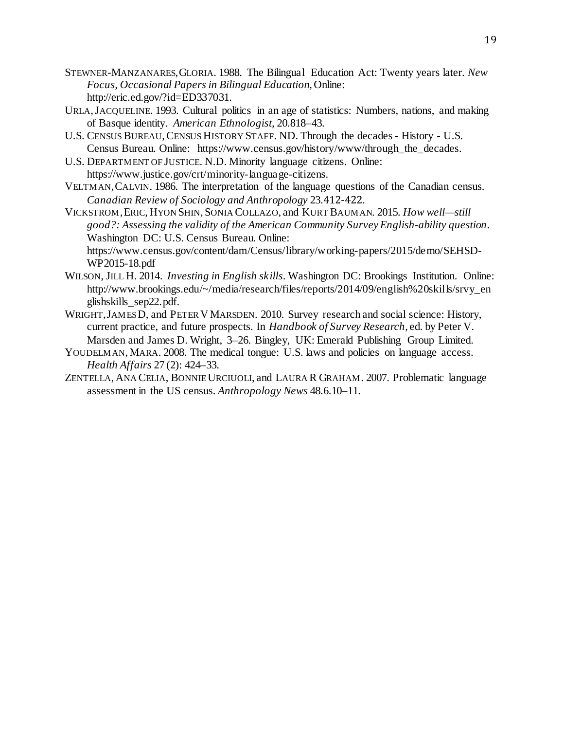- STEWNER-MANZANARES,GLORIA. 1988. The Bilingual Education Act: Twenty years later. *New Focus, Occasional Papers in Bilingual Education*, Online: http://eric.ed.gov/?id=ED337031.
- URLA,JACQUELINE. 1993. Cultural politics in an age of statistics: Numbers, nations, and making of Basque identity. *American Ethnologist,* 20.818–43.
- U.S. CENSUS BUREAU,CENSUS HISTORY STAFF. ND. Through the decades History U.S. Census Bureau. Online: https://www.census.gov/history/www/through\_the\_decades.
- U.S. DEPARTMENT OF JUSTICE. N.D. Minority language citizens. Online: https://www.justice.gov/crt/minority-language-citizens.
- VELTMAN,CALVIN. 1986. The interpretation of the language questions of the Canadian census. *Canadian Review of Sociology and Anthropology* 23.412-422.
- VICKSTROM,ERIC, HYON SHIN, SONIA COLLAZO, and KURT BAUMAN. 2015. *How well—still good?: Assessing the validity of the American Community Survey English-ability question*. Washington DC: U.S. Census Bureau. Online: https://www.census.gov/content/dam/Census/library/working-papers/2015/demo/SEHSD-WP2015-18.pdf
- WILSON, JILL H. 2014. *Investing in English skills*. Washington DC: Brookings Institution. Online: http://www.brookings.edu/~/media/research/files/reports/2014/09/english%20skills/srvy\_en glishskills\_sep22.pdf.
- WRIGHT,JAMES D, and PETER VMARSDEN. 2010. Survey research and social science: History, current practice, and future prospects. In *Handbook of Survey Research*, ed. by Peter V. Marsden and James D. Wright, 3–26. Bingley, UK: Emerald Publishing Group Limited.
- YOUDELMAN, MARA. 2008. The medical tongue: U.S. laws and policies on language access. *Health Affairs* 27 (2): 424–33.
- ZENTELLA, ANA CELIA, BONNIE URCIUOLI, and LAURA R GRAHAM. 2007. Problematic language assessment in the US census. *Anthropology News* 48.6.10–11.